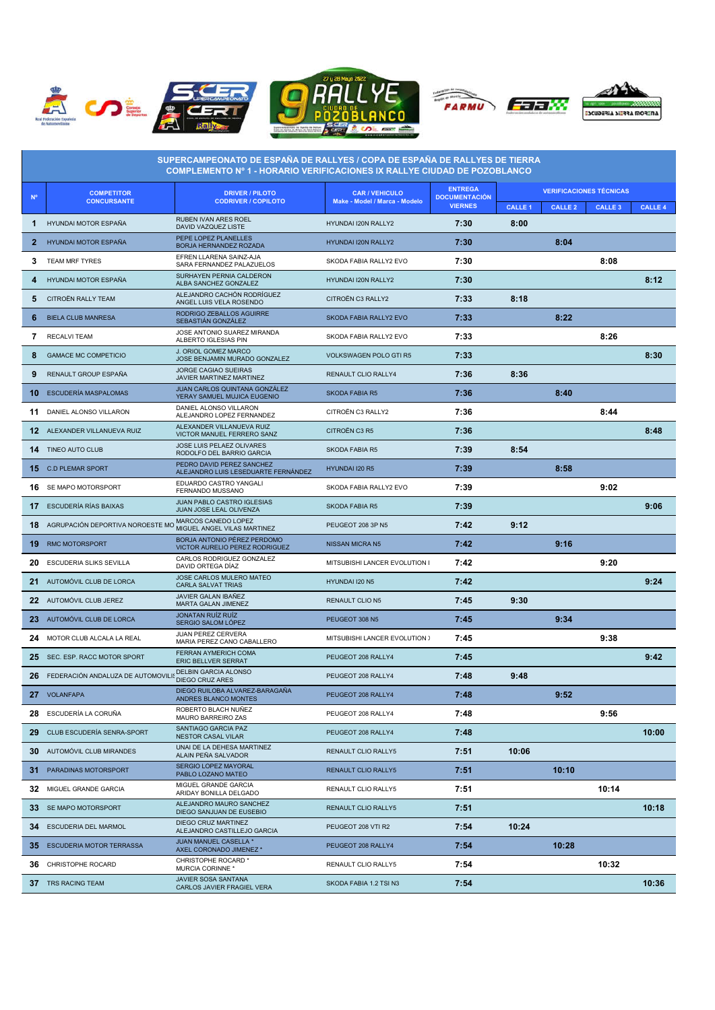









| SUPERCAMPEONATO DE ESPAÑA DE RALLYES / COPA DE ESPAÑA DE RALLYES DE TIERRA<br>COMPLEMENTO Nº 1 - HORARIO VERIFICACIONES IX RALLYE CIUDAD DE POZOBLANCO |                                                              |                                                                  |                                                        |                                                          |                                |                |                |                |  |
|--------------------------------------------------------------------------------------------------------------------------------------------------------|--------------------------------------------------------------|------------------------------------------------------------------|--------------------------------------------------------|----------------------------------------------------------|--------------------------------|----------------|----------------|----------------|--|
| <b>N°</b>                                                                                                                                              | <b>COMPETITOR</b><br><b>CONCURSANTE</b>                      | <b>DRIVER / PILOTO</b><br><b>CODRIVER / COPILOTO</b>             | <b>CAR / VEHICULO</b><br>Make - Model / Marca - Modelo | <b>ENTREGA</b><br><b>DOCUMENTACIÓN</b><br><b>VIERNES</b> | <b>VERIFICACIONES TÉCNICAS</b> |                |                |                |  |
|                                                                                                                                                        |                                                              |                                                                  |                                                        |                                                          | <b>CALLE 1</b>                 | <b>CALLE 2</b> | <b>CALLE 3</b> | <b>CALLE 4</b> |  |
| 1                                                                                                                                                      | <b>HYUNDAI MOTOR ESPAÑA</b>                                  | RUBEN IVAN ARES ROEL<br>DAVID VAZQUEZ LISTE                      | HYUNDAI I20N RALLY2                                    | 7:30                                                     | 8:00                           |                |                |                |  |
| $\mathbf{2}$                                                                                                                                           | HYUNDAI MOTOR ESPAÑA                                         | PEPE LOPEZ PLANELLES<br>BORJA HERNANDEZ ROZADA                   | HYUNDAI I20N RALLY2                                    | 7:30                                                     |                                | 8:04           |                |                |  |
| 3                                                                                                                                                      | TEAM MRF TYRES                                               | EFREN LLARENA SAINZ-AJA<br>SARA FERNANDEZ PALAZUELOS             | SKODA FABIA RALLY2 EVO                                 | 7:30                                                     |                                |                | 8:08           |                |  |
| 4                                                                                                                                                      | HYUNDAI MOTOR ESPAÑA                                         | SURHAYEN PERNIA CALDERON<br>ALBA SANCHEZ GONZALEZ                | HYUNDAI I20N RALLY2                                    | 7:30                                                     |                                |                |                | 8:12           |  |
| 5                                                                                                                                                      | CITROËN RALLY TEAM                                           | ALEJANDRO CACHÓN RODRÍGUEZ<br>ANGEL LUIS VELA ROSENDO            | CITROËN C3 RALLY2                                      | 7:33                                                     | 8:18                           |                |                |                |  |
| 6                                                                                                                                                      | <b>BIELA CLUB MANRESA</b>                                    | RODRIGO ZEBALLOS AGUIRRE<br>SEBASTIÁN GONZÁLEZ                   | SKODA FABIA RALLY2 EVO                                 | 7:33                                                     |                                | 8:22           |                |                |  |
| 7                                                                                                                                                      | <b>RECALVI TEAM</b>                                          | JOSE ANTONIO SUAREZ MIRANDA<br>ALBERTO IGLESIAS PIN              | SKODA FABIA RALLY2 EVO                                 | 7:33                                                     |                                |                | 8:26           |                |  |
| 8                                                                                                                                                      | <b>GAMACE MC COMPETICIO</b>                                  | J. ORIOL GOMEZ MARCO<br>JOSE BENJAMIN MURADO GONZALEZ            | <b>VOLKSWAGEN POLO GTI R5</b>                          | 7:33                                                     |                                |                |                | 8:30           |  |
| 9                                                                                                                                                      | RENAULT GROUP ESPAÑA                                         | JORGE CAGIAO SUEIRAS<br>JAVIER MARTINEZ MARTINEZ                 | RENAULT CLIO RALLY4                                    | 7:36                                                     | 8:36                           |                |                |                |  |
| 10                                                                                                                                                     | ESCUDERÍA MASPALOMAS                                         | JUAN CARLOS QUINTANA GONZÁLEZ<br>YERAY SAMUEL MUJICA EUGENIO     | <b>SKODA FABIA R5</b>                                  | 7:36                                                     |                                | 8:40           |                |                |  |
| 11                                                                                                                                                     | DANIEL ALONSO VILLARON                                       | DANIEL ALONSO VILLARON<br>ALEJANDRO LOPEZ FERNANDEZ              | CITROËN C3 RALLY2                                      | 7:36                                                     |                                |                | 8:44           |                |  |
|                                                                                                                                                        | 12 ALEXANDER VILLANUEVA RUIZ                                 | ALEXANDER VILLANUEVA RUIZ<br>VICTOR MANUEL FERRERO SANZ          | CITROËN C3 R5                                          | 7:36                                                     |                                |                |                | 8:48           |  |
| 14                                                                                                                                                     | <b>TINEO AUTO CLUB</b>                                       | JOSE LUIS PELAEZ OLIVARES<br>RODOLFO DEL BARRIO GARCIA           | <b>SKODA FABIA R5</b>                                  | 7:39                                                     | 8:54                           |                |                |                |  |
| 15                                                                                                                                                     | <b>C.D PLEMAR SPORT</b>                                      | PEDRO DAVID PEREZ SANCHEZ<br>ALEJANDRO LUIS LESEDUARTE FERNÁNDEZ | HYUNDAI I20 R5                                         | 7:39                                                     |                                | 8:58           |                |                |  |
|                                                                                                                                                        | <b>16</b> SE MAPO MOTORSPORT                                 | EDUARDO CASTRO YANGALI<br>FERNANDO MUSSANO                       | SKODA FABIA RALLY2 EVO                                 | 7:39                                                     |                                |                | 9:02           |                |  |
|                                                                                                                                                        | 17 ESCUDERÍA RÍAS BAIXAS                                     | JUAN PABLO CASTRO IGLESIAS<br>JUAN JOSE LEAL OLIVENZA            | <b>SKODA FABIA R5</b>                                  | 7:39                                                     |                                |                |                | 9:06           |  |
| 18                                                                                                                                                     | AGRUPACIÓN DEPORTIVA NOROESTE MO MIGUEL ANGEL VILAS MARTINEZ |                                                                  | PEUGEOT 208 3P N5                                      | 7:42                                                     | 9:12                           |                |                |                |  |
| 19                                                                                                                                                     | <b>RMC MOTORSPORT</b>                                        | BORJA ANTONIO PÉREZ PERDOMO<br>VICTOR AURELIO PEREZ RODRIGUEZ    | <b>NISSAN MICRA N5</b>                                 | 7:42                                                     |                                | 9:16           |                |                |  |
| 20                                                                                                                                                     | ESCUDERIA SLIKS SEVILLA                                      | CARLOS RODRIGUEZ GONZALEZ<br>DAVID ORTEGA DÍAZ                   | MITSUBISHI LANCER EVOLUTION I.                         | 7:42                                                     |                                |                | 9:20           |                |  |
| 21                                                                                                                                                     | AUTOMÓVIL CLUB DE LORCA                                      | JOSE CARLOS MULERO MATEO<br><b>CARLA SALVAT TRIAS</b>            | HYUNDAI I20 N5                                         | 7:42                                                     |                                |                |                | 9:24           |  |
|                                                                                                                                                        | 22 AUTOMÓVIL CLUB JEREZ                                      | JAVIER GALAN IBAÑEZ<br>MARTA GALAN JIMENEZ                       | <b>RENAULT CLIO N5</b>                                 | 7:45                                                     | 9:30                           |                |                |                |  |
|                                                                                                                                                        | 23 AUTOMÓVIL CLUB DE LORCA                                   | JONATAN RUÍZ RUÍZ<br>SERGIO SALOM LÓPEZ                          | PEUGEOT 308 N5                                         | 7:45                                                     |                                | 9:34           |                |                |  |
| 24                                                                                                                                                     | MOTOR CLUB ALCALA LA REAL                                    | JUAN PEREZ CERVERA<br>MARIA PEREZ CANO CABALLERO                 | MITSUBISHI LANCER EVOLUTION >                          | 7:45                                                     |                                |                | 9:38           |                |  |
|                                                                                                                                                        | 25 SEC. ESP. RACC MOTOR SPORT                                | FERRAN AYMERICH COMA<br><b>ERIC BELLVER SERRAT</b>               | PEUGEOT 208 RALLY4                                     | 7:45                                                     |                                |                |                | 9:42           |  |
|                                                                                                                                                        | 26 FEDERACIÓN ANDALUZA DE AUTOMOVILI                         | DELBIN GARCIA ALONSO<br><b>DIEGO CRUZ ARES</b>                   | PEUGEOT 208 RALLY4                                     | 7:48                                                     | 9:48                           |                |                |                |  |
|                                                                                                                                                        | 27 VOLANFAPA                                                 | DIEGO RUILOBA ALVAREZ-BARAGAÑA<br>ANDRES BLANCO MONTES           | PEUGEOT 208 RALLY4                                     | 7:48                                                     |                                | 9:52           |                |                |  |
|                                                                                                                                                        | 28 ESCUDERÍA LA CORUÑA                                       | ROBERTO BLACH NUÑEZ<br><b>MAURO BARREIRO ZAS</b>                 | PEUGEOT 208 RALLY4                                     | 7:48                                                     |                                |                | 9:56           |                |  |
| 29                                                                                                                                                     | CLUB ESCUDERÍA SENRA-SPORT                                   | SANTIAGO GARCIA PAZ<br>NESTOR CASAL VILAR                        | PEUGEOT 208 RALLY4                                     | 7:48                                                     |                                |                |                | 10:00          |  |
|                                                                                                                                                        | <b>30</b> AUTOMÓVIL CLUB MIRANDES                            | UNAI DE LA DEHESA MARTINEZ<br>ALAIN PEÑA SALVADOR                | RENAULT CLIO RALLY5                                    | 7:51                                                     | 10:06                          |                |                |                |  |
| 31.                                                                                                                                                    | PARADINAS MOTORSPORT                                         | SERGIO LOPEZ MAYORAL<br>PABLO LOZANO MATEO                       | RENAULT CLIO RALLY5                                    | 7:51                                                     |                                | 10:10          |                |                |  |
| 32                                                                                                                                                     | MIGUEL GRANDE GARCIA                                         | MIGUEL GRANDE GARCIA<br>ARIDAY BONILLA DELGADO                   | RENAULT CLIO RALLY5                                    | 7:51                                                     |                                |                | 10:14          |                |  |
|                                                                                                                                                        | 33 SE MAPO MOTORSPORT                                        | ALEJANDRO MAURO SANCHEZ<br>DIEGO SANJUAN DE EUSEBIO              | RENAULT CLIO RALLY5                                    | 7:51                                                     |                                |                |                | 10:18          |  |
|                                                                                                                                                        | 34 ESCUDERIA DEL MARMOL                                      | DIEGO CRUZ MARTINEZ<br>ALEJANDRO CASTILLEJO GARCIA               | PEUGEOT 208 VTI R2                                     | 7:54                                                     | 10:24                          |                |                |                |  |
| 35                                                                                                                                                     | <b>ESCUDERIA MOTOR TERRASSA</b>                              | JUAN MANUEL CASELLA *<br>AXEL CORONADO JIMENEZ *                 | PEUGEOT 208 RALLY4                                     | 7:54                                                     |                                | 10:28          |                |                |  |
|                                                                                                                                                        | <b>36</b> CHRISTOPHE ROCARD                                  | CHRISTOPHE ROCARD *<br>MURCIA CORINNE *                          | RENAULT CLIO RALLY5                                    | 7:54                                                     |                                |                | 10:32          |                |  |
|                                                                                                                                                        | <b>37 TRS RACING TEAM</b>                                    | <b>JAVIER SOSA SANTANA</b><br>CARLOS JAVIER FRAGIEL VERA         | SKODA FABIA 1.2 TSI N3                                 | 7:54                                                     |                                |                |                | 10:36          |  |